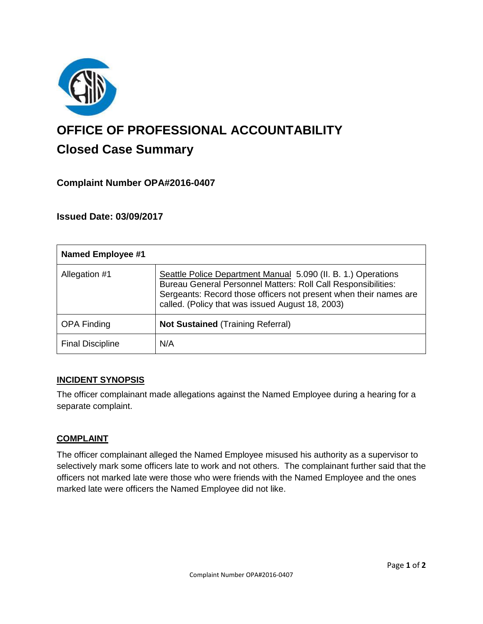

# **OFFICE OF PROFESSIONAL ACCOUNTABILITY Closed Case Summary**

## **Complaint Number OPA#2016-0407**

## **Issued Date: 03/09/2017**

| <b>Named Employee #1</b> |                                                                                                                                                                                                                                                         |
|--------------------------|---------------------------------------------------------------------------------------------------------------------------------------------------------------------------------------------------------------------------------------------------------|
| Allegation #1            | Seattle Police Department Manual 5.090 (II. B. 1.) Operations<br>Bureau General Personnel Matters: Roll Call Responsibilities:<br>Sergeants: Record those officers not present when their names are<br>called. (Policy that was issued August 18, 2003) |
| <b>OPA Finding</b>       | <b>Not Sustained (Training Referral)</b>                                                                                                                                                                                                                |
| <b>Final Discipline</b>  | N/A                                                                                                                                                                                                                                                     |

#### **INCIDENT SYNOPSIS**

The officer complainant made allegations against the Named Employee during a hearing for a separate complaint.

#### **COMPLAINT**

The officer complainant alleged the Named Employee misused his authority as a supervisor to selectively mark some officers late to work and not others. The complainant further said that the officers not marked late were those who were friends with the Named Employee and the ones marked late were officers the Named Employee did not like.